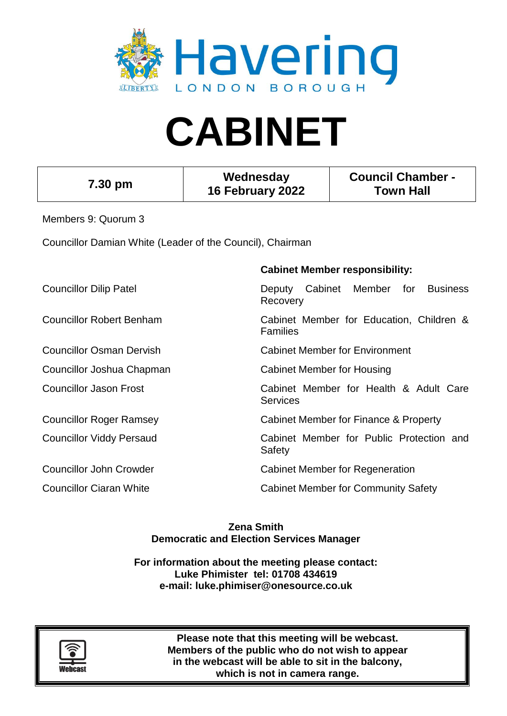

# **CABINET**

| 7.30 pm                                                   | Wednesday<br>16 February 2022 |                                       | <b>Council Chamber -</b><br><b>Town Hall</b> |     |                 |  |
|-----------------------------------------------------------|-------------------------------|---------------------------------------|----------------------------------------------|-----|-----------------|--|
| Members 9: Quorum 3                                       |                               |                                       |                                              |     |                 |  |
| Councillor Damian White (Leader of the Council), Chairman |                               |                                       |                                              |     |                 |  |
|                                                           |                               | <b>Cabinet Member responsibility:</b> |                                              |     |                 |  |
| <b>Councillor Dilip Patel</b>                             | Deputy<br>Recovery            | Cabinet                               | Member                                       | for | <b>Business</b> |  |

Councillor Robert Benham Cabinet Member for Education, Children &

Families

Councillor Osman Dervish Cabinet Member for Environment

Councillor Joshua Chapman Cabinet Member for Housing

Councillor Jason Frost Cabinet Member for Health & Adult Care **Services** 

Councillor Roger Ramsey Cabinet Member for Finance & Property

Councillor Viddy Persaud Cabinet Member for Public Protection and Safety

Councillor John Crowder Councillor John Crowder Cabinet Member for Regeneration

Councillor Ciaran White Councillor Ciaran White Cabinet Member for Community Safety

**Zena Smith Democratic and Election Services Manager**

**For information about the meeting please contact: Luke Phimister tel: 01708 434619 e-mail: luke.phimiser@onesource.co.uk**



**Please note that this meeting will be webcast. Members of the public who do not wish to appear in the webcast will be able to sit in the balcony, which is not in camera range.**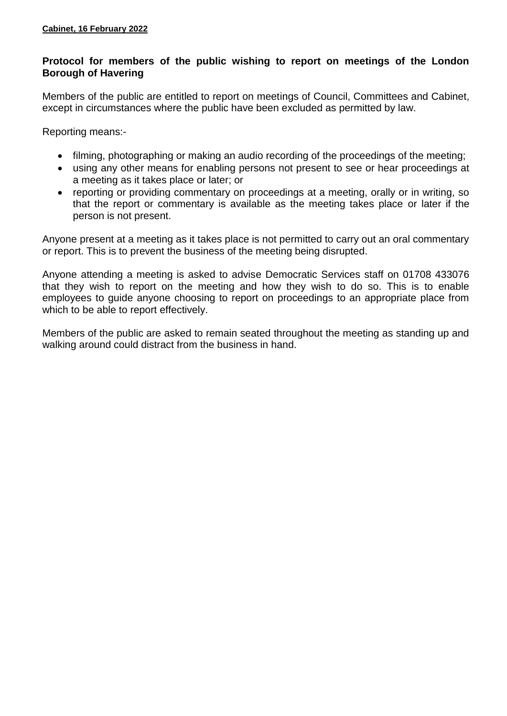## **Protocol for members of the public wishing to report on meetings of the London Borough of Havering**

Members of the public are entitled to report on meetings of Council, Committees and Cabinet, except in circumstances where the public have been excluded as permitted by law.

Reporting means:-

- filming, photographing or making an audio recording of the proceedings of the meeting;
- using any other means for enabling persons not present to see or hear proceedings at a meeting as it takes place or later; or
- reporting or providing commentary on proceedings at a meeting, orally or in writing, so that the report or commentary is available as the meeting takes place or later if the person is not present.

Anyone present at a meeting as it takes place is not permitted to carry out an oral commentary or report. This is to prevent the business of the meeting being disrupted.

Anyone attending a meeting is asked to advise Democratic Services staff on 01708 433076 that they wish to report on the meeting and how they wish to do so. This is to enable employees to guide anyone choosing to report on proceedings to an appropriate place from which to be able to report effectively.

Members of the public are asked to remain seated throughout the meeting as standing up and walking around could distract from the business in hand.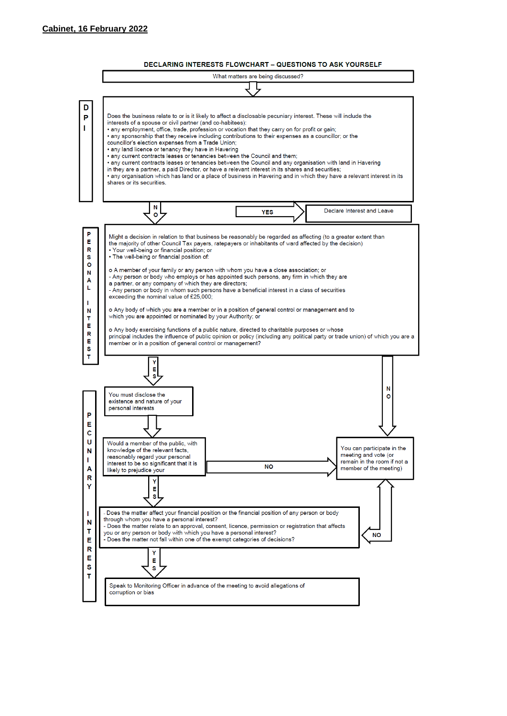

**DECLARING INTERESTS FLOWCHART - QUESTIONS TO ASK YOURSELF**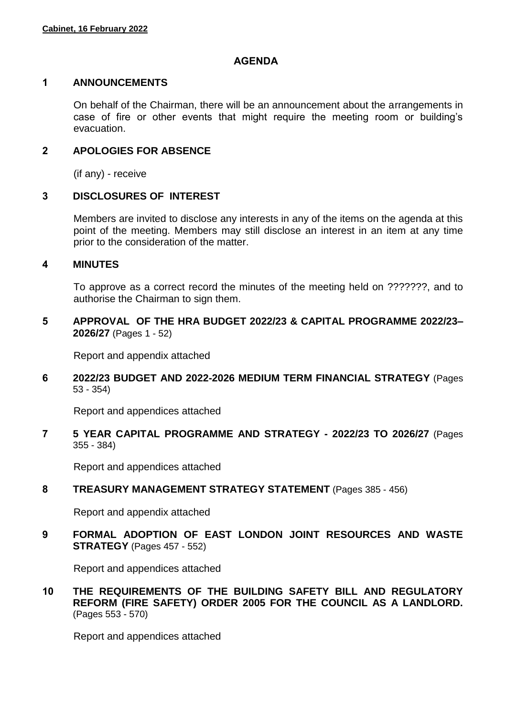## **AGENDA**

#### **1 ANNOUNCEMENTS**

On behalf of the Chairman, there will be an announcement about the arrangements in case of fire or other events that might require the meeting room or building's evacuation.

## **2 APOLOGIES FOR ABSENCE**

(if any) - receive

## **3 DISCLOSURES OF INTEREST**

Members are invited to disclose any interests in any of the items on the agenda at this point of the meeting. Members may still disclose an interest in an item at any time prior to the consideration of the matter.

#### **4 MINUTES**

To approve as a correct record the minutes of the meeting held on ???????, and to authorise the Chairman to sign them.

**5 APPROVAL OF THE HRA BUDGET 2022/23 & CAPITAL PROGRAMME 2022/23– 2026/27** (Pages 1 - 52)

Report and appendix attached

**6 2022/23 BUDGET AND 2022-2026 MEDIUM TERM FINANCIAL STRATEGY** (Pages 53 - 354)

Report and appendices attached

**7 5 YEAR CAPITAL PROGRAMME AND STRATEGY - 2022/23 TO 2026/27** (Pages 355 - 384)

Report and appendices attached

**8 TREASURY MANAGEMENT STRATEGY STATEMENT** (Pages 385 - 456)

Report and appendix attached

**9 FORMAL ADOPTION OF EAST LONDON JOINT RESOURCES AND WASTE STRATEGY** (Pages 457 - 552)

Report and appendices attached

**10 THE REQUIREMENTS OF THE BUILDING SAFETY BILL AND REGULATORY REFORM (FIRE SAFETY) ORDER 2005 FOR THE COUNCIL AS A LANDLORD.** (Pages 553 - 570)

Report and appendices attached